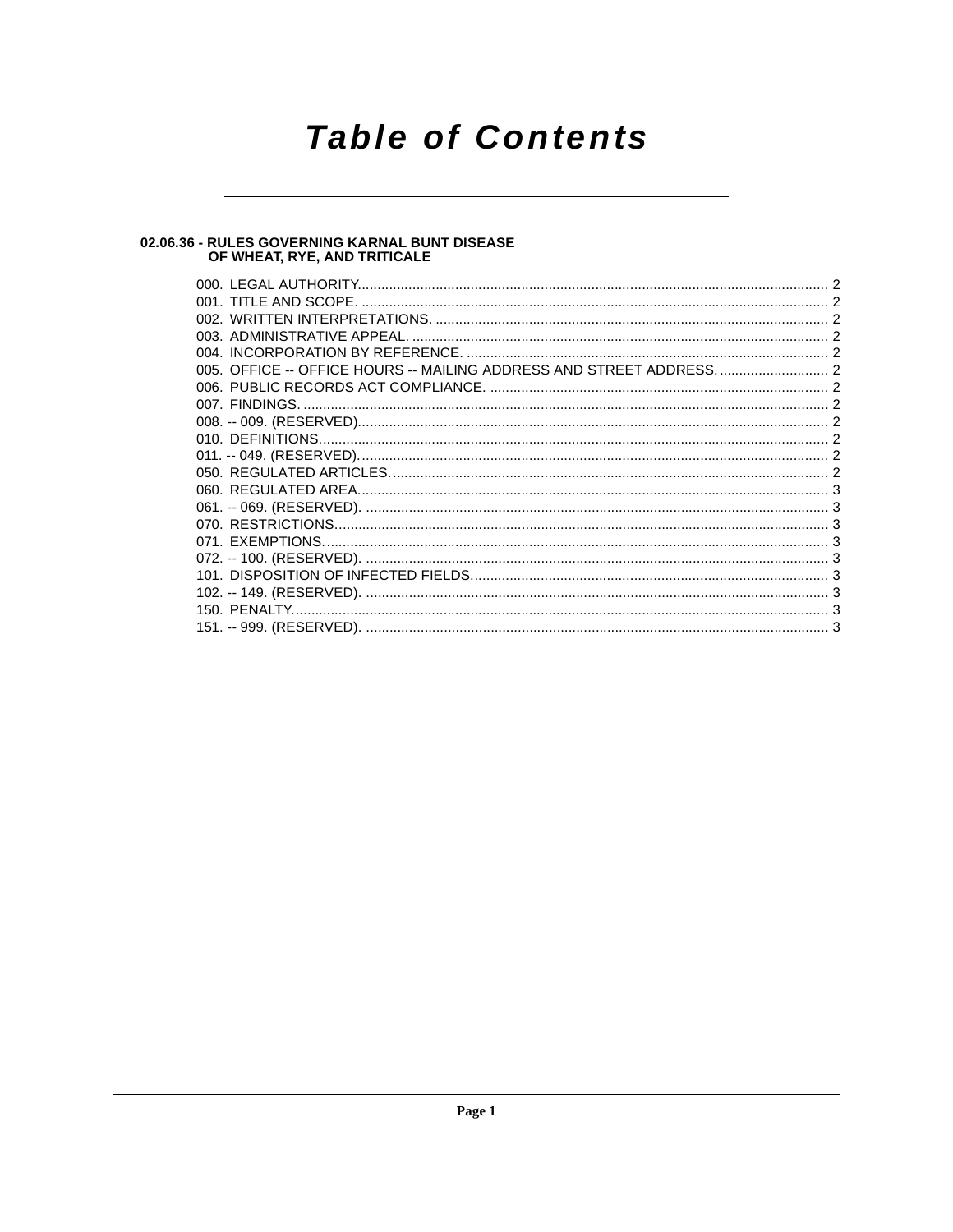# **Table of Contents**

# 02.06.36 - RULES GOVERNING KARNAL BUNT DISEASE<br>OF WHEAT, RYE, AND TRITICALE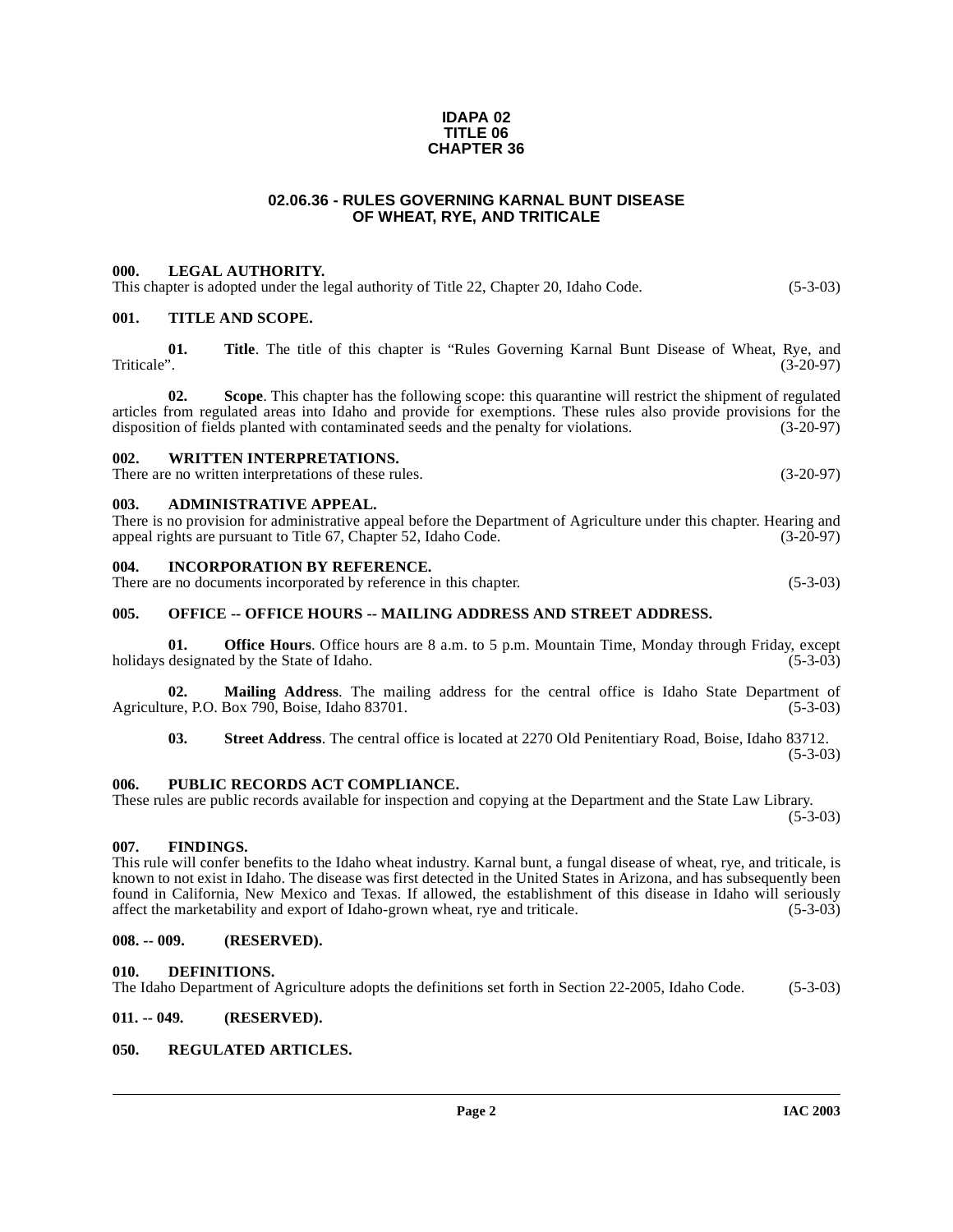#### **IDAPA 02 TITLE 06 CHAPTER 36**

#### **02.06.36 - RULES GOVERNING KARNAL BUNT DISEASE OF WHEAT, RYE, AND TRITICALE**

#### <span id="page-1-1"></span><span id="page-1-0"></span>**000. LEGAL AUTHORITY.**

This chapter is adopted under the legal authority of Title 22, Chapter 20, Idaho Code. (5-3-03)

#### <span id="page-1-2"></span>**001. TITLE AND SCOPE.**

**01.** Title. The title of this chapter is "Rules Governing Karnal Bunt Disease of Wheat, Rye, and Triticale". (3-20-97) Triticale". (3-20-97)

**02. Scope**. This chapter has the following scope: this quarantine will restrict the shipment of regulated articles from regulated areas into Idaho and provide for exemptions. These rules also provide provisions for the disposition of fields planted with contaminated seeds and the penalty for violations. (3-20-97) disposition of fields planted with contaminated seeds and the penalty for violations.

#### <span id="page-1-3"></span>**002. WRITTEN INTERPRETATIONS.**

There are no written interpretations of these rules. (3-20-97)

#### <span id="page-1-4"></span>**003. ADMINISTRATIVE APPEAL.**

There is no provision for administrative appeal before the Department of Agriculture under this chapter. Hearing and appeal rights are pursuant to Title 67. Chapter 52. Idaho Code. (3-20-97) appeal rights are pursuant to Title 67, Chapter 52, Idaho Code.

#### <span id="page-1-5"></span>**004. INCORPORATION BY REFERENCE.**

There are no documents incorporated by reference in this chapter. (5-3-03)

#### <span id="page-1-6"></span>005. OFFICE -- OFFICE HOURS -- MAILING ADDRESS AND STREET ADDRESS.

**01. Office Hours**. Office hours are 8 a.m. to 5 p.m. Mountain Time, Monday through Friday, except designated by the State of Idaho. (5-3-03) holidays designated by the State of Idaho.

**02.** Mailing Address. The mailing address for the central office is Idaho State Department of are, P.O. Box 790, Boise, Idaho 83701. (5-3-03) Agriculture, P.O. Box 790, Boise, Idaho 83701.

**03. Street Address**. The central office is located at 2270 Old Penitentiary Road, Boise, Idaho 83712.  $(5-3-03)$ 

#### <span id="page-1-7"></span>**006. PUBLIC RECORDS ACT COMPLIANCE.**

These rules are public records available for inspection and copying at the Department and the State Law Library.  $(5-3-03)$ 

#### <span id="page-1-8"></span>**007. FINDINGS.**

This rule will confer benefits to the Idaho wheat industry. Karnal bunt, a fungal disease of wheat, rye, and triticale, is known to not exist in Idaho. The disease was first detected in the United States in Arizona, and has subsequently been found in California, New Mexico and Texas. If allowed, the establishment of this disease in Idaho will seriously affect the marketability and export of Idaho-grown wheat, rye and triticale. (5-3-03)

## <span id="page-1-9"></span>**008. -- 009. (RESERVED).**

#### <span id="page-1-13"></span><span id="page-1-10"></span>**010. DEFINITIONS.**

The Idaho Department of Agriculture adopts the definitions set forth in Section 22-2005, Idaho Code. (5-3-03)

#### <span id="page-1-11"></span>**011. -- 049. (RESERVED).**

#### <span id="page-1-14"></span><span id="page-1-12"></span>**050. REGULATED ARTICLES.**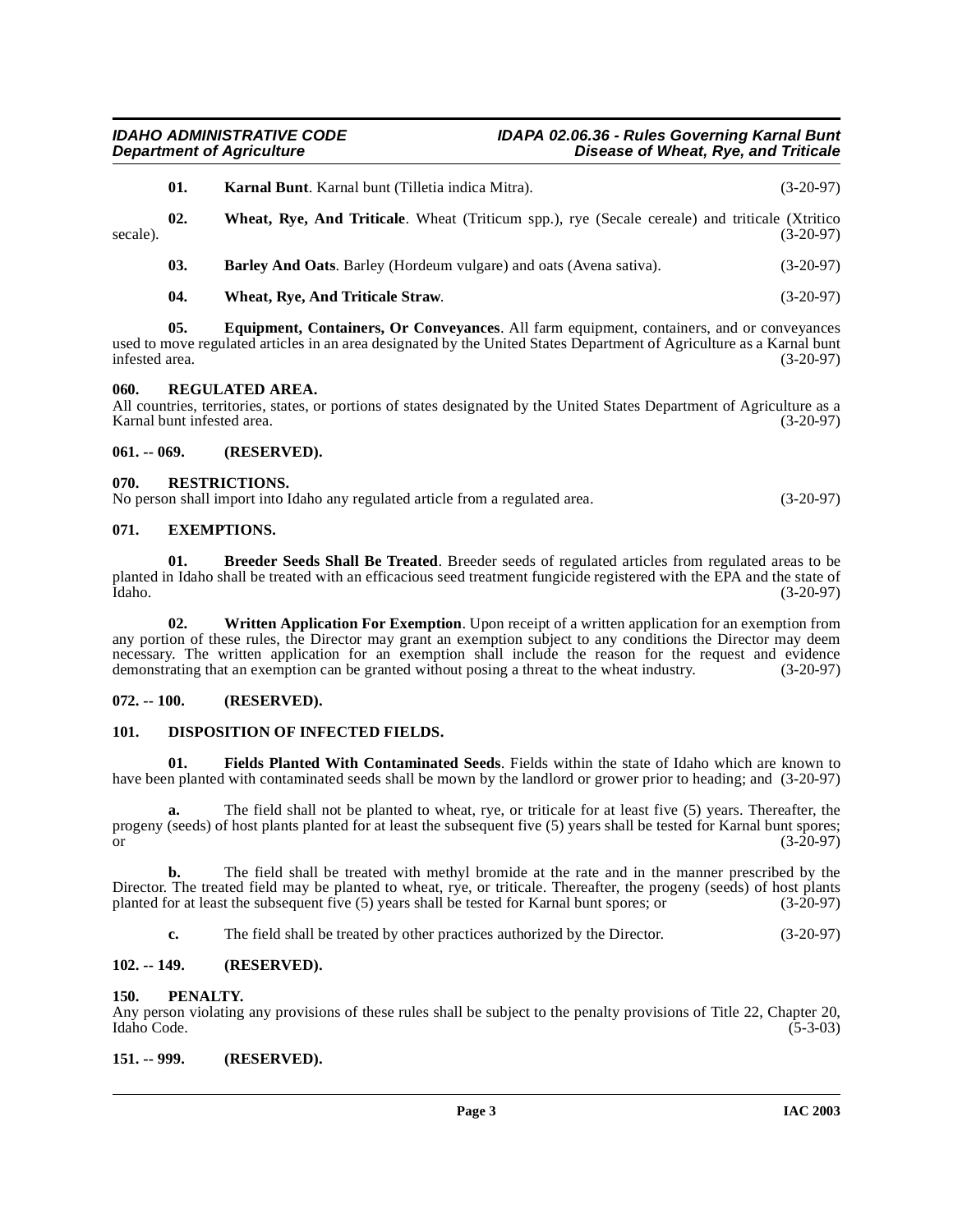<span id="page-2-19"></span><span id="page-2-15"></span><span id="page-2-9"></span>

| secale). | 01. | <b>Karnal Bunt.</b> Karnal bunt (Tilletia indica Mitra).                                                                                                                                                              | $(3-20-97)$ |
|----------|-----|-----------------------------------------------------------------------------------------------------------------------------------------------------------------------------------------------------------------------|-------------|
|          | 02. | Wheat, Rye, And Triticale. Wheat (Triticum spp.), rye (Secale cereale) and triticale (Xtritico                                                                                                                        | $(3-20-97)$ |
|          | 03. | <b>Barley And Oats.</b> Barley (Hordeum vulgare) and oats (Avena sativa).                                                                                                                                             | $(3-20-97)$ |
|          | 04. | Wheat, Rye, And Triticale Straw.                                                                                                                                                                                      | $(3-20-97)$ |
|          | 05. | <b>Equipment, Containers, Or Conveyances.</b> All farm equipment, containers, and or conveyances<br>4 to access acceleted catches in on one decisions dela Harte J. Harted Neutre Demontance (Amaia, Harry Moned Lant |             |

<span id="page-2-18"></span><span id="page-2-12"></span>used to move regulated articles in an area designated by the United States Department of Agriculture as a Karnal bunt infested area. (3-20-97)

#### <span id="page-2-16"></span><span id="page-2-0"></span>**060. REGULATED AREA.**

All countries, territories, states, or portions of states designated by the United States Department of Agriculture as a Karnal bunt infested area. (3-20-97)

#### <span id="page-2-1"></span>**061. -- 069. (RESERVED).**

#### <span id="page-2-17"></span><span id="page-2-2"></span>**070. RESTRICTIONS.**

No person shall import into Idaho any regulated article from a regulated area. (3-20-97)

#### <span id="page-2-13"></span><span id="page-2-3"></span>**071. EXEMPTIONS.**

<span id="page-2-10"></span>**01. Breeder Seeds Shall Be Treated**. Breeder seeds of regulated articles from regulated areas to be planted in Idaho shall be treated with an efficacious seed treatment fungicide registered with the EPA and the state of Idaho. (3-20-97) Idaho. (3-20-97)

<span id="page-2-20"></span>**02. Written Application For Exemption**. Upon receipt of a written application for an exemption from any portion of these rules, the Director may grant an exemption subject to any conditions the Director may deem necessary. The written application for an exemption shall include the reason for the request and evidence demonstrating that an exemption can be granted without posing a threat to the wheat industry. (3-20-97)

### <span id="page-2-4"></span>**072. -- 100. (RESERVED).**

### <span id="page-2-11"></span><span id="page-2-5"></span>**101. DISPOSITION OF INFECTED FIELDS.**

<span id="page-2-14"></span>**01. Fields Planted With Contaminated Seeds**. Fields within the state of Idaho which are known to have been planted with contaminated seeds shall be mown by the landlord or grower prior to heading; and (3-20-97)

**a.** The field shall not be planted to wheat, rye, or triticale for at least five (5) years. Thereafter, the progeny (seeds) of host plants planted for at least the subsequent five (5) years shall be tested for Karnal bunt spores; or  $(3-20-97)$ 

**b.** The field shall be treated with methyl bromide at the rate and in the manner prescribed by the Director. The treated field may be planted to wheat, rye, or triticale. Thereafter, the progeny (seeds) of host plants planted for at least the subsequent five (5) years shall be tested for Karnal bunt spores; or (3-20-97)

**c.** The field shall be treated by other practices authorized by the Director. (3-20-97)

### <span id="page-2-6"></span>**102. -- 149. (RESERVED).**

#### <span id="page-2-7"></span>**150. PENALTY.**

Any person violating any provisions of these rules shall be subject to the penalty provisions of Title 22, Chapter 20, Idaho Code. (5-3-03) Idaho Code. (5-3-03)

#### <span id="page-2-8"></span>**151. -- 999. (RESERVED).**